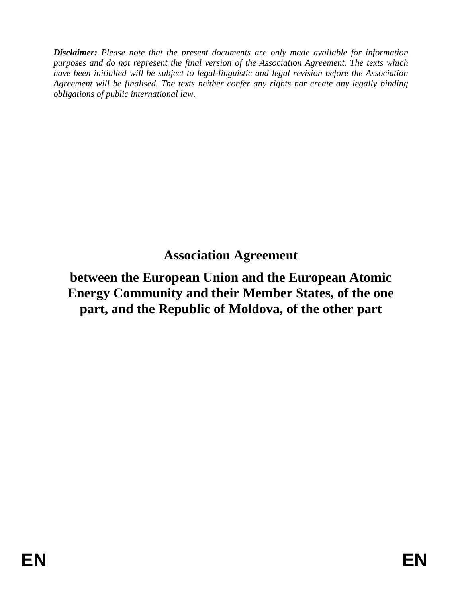*Disclaimer: Please note that the present documents are only made available for information purposes and do not represent the final version of the Association Agreement. The texts which have been initialled will be subject to legal-linguistic and legal revision before the Association Agreement will be finalised. The texts neither confer any rights nor create any legally binding obligations of public international law.*

# **Association Agreement**

# **between the European Union and the European Atomic Energy Community and their Member States, of the one part, and the Republic of Moldova, of the other part**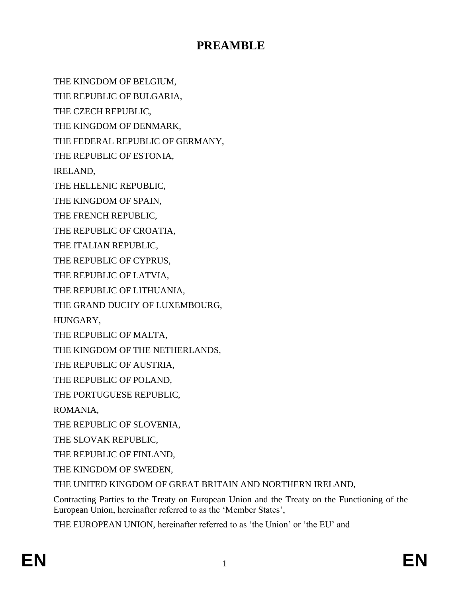## **PREAMBLE**

THE KINGDOM OF BELGIUM,

THE REPUBLIC OF BULGARIA,

THE CZECH REPUBLIC,

THE KINGDOM OF DENMARK,

THE FEDERAL REPUBLIC OF GERMANY,

THE REPUBLIC OF ESTONIA,

IRELAND,

THE HELLENIC REPUBLIC,

THE KINGDOM OF SPAIN,

THE FRENCH REPUBLIC,

THE REPUBLIC OF CROATIA,

THE ITALIAN REPUBLIC,

THE REPUBLIC OF CYPRUS,

THE REPUBLIC OF LATVIA,

THE REPUBLIC OF LITHUANIA,

THE GRAND DUCHY OF LUXEMBOURG,

HUNGARY,

THE REPUBLIC OF MALTA,

THE KINGDOM OF THE NETHERLANDS,

THE REPUBLIC OF AUSTRIA,

THE REPUBLIC OF POLAND,

THE PORTUGUESE REPUBLIC,

ROMANIA,

THE REPUBLIC OF SLOVENIA,

THE SLOVAK REPUBLIC,

THE REPUBLIC OF FINLAND,

THE KINGDOM OF SWEDEN,

THE UNITED KINGDOM OF GREAT BRITAIN AND NORTHERN IRELAND,

Contracting Parties to the Treaty on European Union and the Treaty on the Functioning of the European Union, hereinafter referred to as the 'Member States',

THE EUROPEAN UNION, hereinafter referred to as 'the Union' or 'the EU' and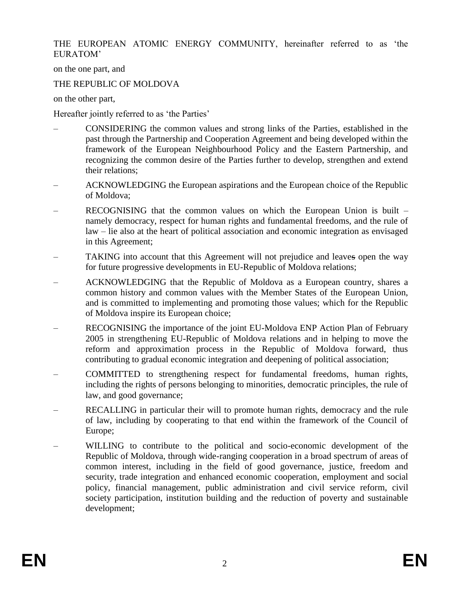THE EUROPEAN ATOMIC ENERGY COMMUNITY, hereinafter referred to as 'the EURATOM'

on the one part, and

### THE REPUBLIC OF MOLDOVA

on the other part,

Hereafter jointly referred to as 'the Parties'

- CONSIDERING the common values and strong links of the Parties, established in the past through the Partnership and Cooperation Agreement and being developed within the framework of the European Neighbourhood Policy and the Eastern Partnership, and recognizing the common desire of the Parties further to develop, strengthen and extend their relations;
- ACKNOWLEDGING the European aspirations and the European choice of the Republic of Moldova;
- RECOGNISING that the common values on which the European Union is built namely democracy, respect for human rights and fundamental freedoms, and the rule of law – lie also at the heart of political association and economic integration as envisaged in this Agreement;
- TAKING into account that this Agreement will not prejudice and leaves open the way for future progressive developments in EU-Republic of Moldova relations;
- ACKNOWLEDGING that the Republic of Moldova as a European country, shares a common history and common values with the Member States of the European Union, and is committed to implementing and promoting those values; which for the Republic of Moldova inspire its European choice;
- RECOGNISING the importance of the joint EU-Moldova ENP Action Plan of February 2005 in strengthening EU-Republic of Moldova relations and in helping to move the reform and approximation process in the Republic of Moldova forward, thus contributing to gradual economic integration and deepening of political association;
- COMMITTED to strengthening respect for fundamental freedoms, human rights, including the rights of persons belonging to minorities, democratic principles, the rule of law, and good governance;
- RECALLING in particular their will to promote human rights, democracy and the rule of law, including by cooperating to that end within the framework of the Council of Europe;
- WILLING to contribute to the political and socio-economic development of the Republic of Moldova, through wide-ranging cooperation in a broad spectrum of areas of common interest, including in the field of good governance, justice, freedom and security, trade integration and enhanced economic cooperation, employment and social policy, financial management, public administration and civil service reform, civil society participation, institution building and the reduction of poverty and sustainable development;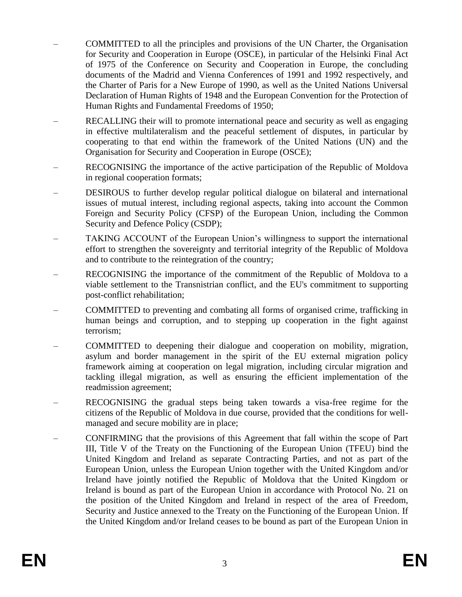- COMMITTED to all the principles and provisions of the UN Charter, the Organisation for Security and Cooperation in Europe (OSCE), in particular of the Helsinki Final Act of 1975 of the Conference on Security and Cooperation in Europe, the concluding documents of the Madrid and Vienna Conferences of 1991 and 1992 respectively, and the Charter of Paris for a New Europe of 1990, as well as the United Nations Universal Declaration of Human Rights of 1948 and the European Convention for the Protection of Human Rights and Fundamental Freedoms of 1950;
- RECALLING their will to promote international peace and security as well as engaging in effective multilateralism and the peaceful settlement of disputes, in particular by cooperating to that end within the framework of the United Nations (UN) and the Organisation for Security and Cooperation in Europe (OSCE);
- RECOGNISING the importance of the active participation of the Republic of Moldova in regional cooperation formats;
- DESIROUS to further develop regular political dialogue on bilateral and international issues of mutual interest, including regional aspects, taking into account the Common Foreign and Security Policy (CFSP) of the European Union, including the Common Security and Defence Policy (CSDP);
- TAKING ACCOUNT of the European Union's willingness to support the international effort to strengthen the sovereignty and territorial integrity of the Republic of Moldova and to contribute to the reintegration of the country;
- RECOGNISING the importance of the commitment of the Republic of Moldova to a viable settlement to the Transnistrian conflict, and the EU's commitment to supporting post-conflict rehabilitation;
- COMMITTED to preventing and combating all forms of organised crime, trafficking in human beings and corruption, and to stepping up cooperation in the fight against terrorism;
- COMMITTED to deepening their dialogue and cooperation on mobility, migration, asylum and border management in the spirit of the EU external migration policy framework aiming at cooperation on legal migration, including circular migration and tackling illegal migration, as well as ensuring the efficient implementation of the readmission agreement;
- RECOGNISING the gradual steps being taken towards a visa-free regime for the citizens of the Republic of Moldova in due course, provided that the conditions for wellmanaged and secure mobility are in place;
- CONFIRMING that the provisions of this Agreement that fall within the scope of Part III, Title V of the Treaty on the Functioning of the European Union (TFEU) bind the United Kingdom and Ireland as separate Contracting Parties, and not as part of the European Union, unless the European Union together with the United Kingdom and/or Ireland have jointly notified the Republic of Moldova that the United Kingdom or Ireland is bound as part of the European Union in accordance with Protocol No. 21 on the position of the United Kingdom and Ireland in respect of the area of Freedom, Security and Justice annexed to the Treaty on the Functioning of the European Union. If the United Kingdom and/or Ireland ceases to be bound as part of the European Union in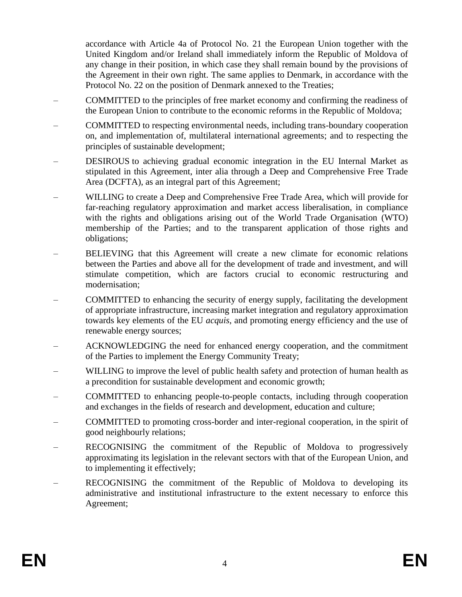accordance with Article 4a of Protocol No. 21 the European Union together with the United Kingdom and/or Ireland shall immediately inform the Republic of Moldova of any change in their position, in which case they shall remain bound by the provisions of the Agreement in their own right. The same applies to Denmark, in accordance with the Protocol No. 22 on the position of Denmark annexed to the Treaties;

- COMMITTED to the principles of free market economy and confirming the readiness of the European Union to contribute to the economic reforms in the Republic of Moldova;
- COMMITTED to respecting environmental needs, including trans-boundary cooperation on, and implementation of, multilateral international agreements; and to respecting the principles of sustainable development;
- DESIROUS to achieving gradual economic integration in the EU Internal Market as stipulated in this Agreement, inter alia through a Deep and Comprehensive Free Trade Area (DCFTA), as an integral part of this Agreement;
- WILLING to create a Deep and Comprehensive Free Trade Area, which will provide for far-reaching regulatory approximation and market access liberalisation, in compliance with the rights and obligations arising out of the World Trade Organisation (WTO) membership of the Parties; and to the transparent application of those rights and obligations;
- BELIEVING that this Agreement will create a new climate for economic relations between the Parties and above all for the development of trade and investment, and will stimulate competition, which are factors crucial to economic restructuring and modernisation;
- COMMITTED to enhancing the security of energy supply, facilitating the development of appropriate infrastructure, increasing market integration and regulatory approximation towards key elements of the EU *acquis*, and promoting energy efficiency and the use of renewable energy sources;
- ACKNOWLEDGING the need for enhanced energy cooperation, and the commitment of the Parties to implement the Energy Community Treaty;
- WILLING to improve the level of public health safety and protection of human health as a precondition for sustainable development and economic growth;
- COMMITTED to enhancing people-to-people contacts, including through cooperation and exchanges in the fields of research and development, education and culture;
- COMMITTED to promoting cross-border and inter-regional cooperation, in the spirit of good neighbourly relations;
- RECOGNISING the commitment of the Republic of Moldova to progressively approximating its legislation in the relevant sectors with that of the European Union, and to implementing it effectively;
- RECOGNISING the commitment of the Republic of Moldova to developing its administrative and institutional infrastructure to the extent necessary to enforce this Agreement;